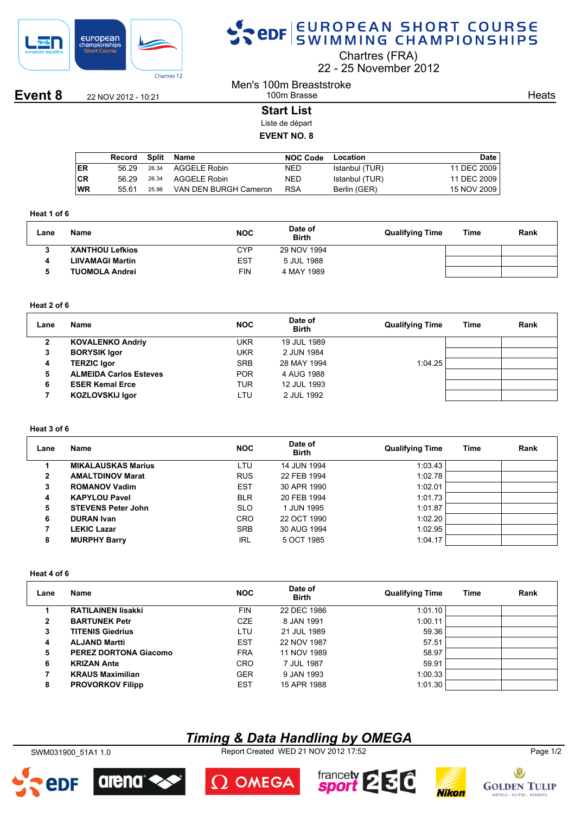

# SPOR EUROPEAN SHORT COURSE

Chartres (FRA)

22 25 November 2012

**Event 8** 22 NOV 2012 - 10:21

#### Men's 100m Breaststroke 100m Brasse

**Heats** 

### **Start List**

Liste de départ **EVENT NO. 8**

|    | Record | Split | Name                  | <b>NOC Code</b> | Location       | Date        |
|----|--------|-------|-----------------------|-----------------|----------------|-------------|
| ER | 56.29  | 26.34 | AGGELE Robin          | NED             | Istanbul (TUR) | 11 DEC 2009 |
| СR | 56.29  | 26.34 | AGGELE Robin          | <b>NED</b>      | Istanbul (TUR) | 11 DEC 2009 |
| WR | 55.61  | 25.98 | VAN DEN BURGH Cameron | <b>RSA</b>      | Berlin (GER)   | 15 NOV 2009 |
|    |        |       |                       |                 |                |             |

#### **Heat 1 of 6**

| Lane | Name                   | <b>NOC</b> | Date of<br><b>Birth</b> | <b>Qualifying Time</b> | Time | Rank |
|------|------------------------|------------|-------------------------|------------------------|------|------|
|      | <b>XANTHOU Lefkios</b> | CYP        | 29 NOV 1994             |                        |      |      |
| 4    | LIIVAMAGI Martin       | <b>EST</b> | 5 JUL 1988              |                        |      |      |
|      | <b>TUOMOLA Andrei</b>  | FIN        | 4 MAY 1989              |                        |      |      |

#### **Heat 2 of 6**

| Lane | Name                          | <b>NOC</b> | Date of<br><b>Birth</b> | <b>Qualifying Time</b> | Time | Rank |
|------|-------------------------------|------------|-------------------------|------------------------|------|------|
|      | <b>KOVALENKO Andriy</b>       | UKR        | 19 JUL 1989             |                        |      |      |
|      | <b>BORYSIK Igor</b>           | <b>UKR</b> | 2 JUN 1984              |                        |      |      |
| 4    | <b>TERZIC Igor</b>            | <b>SRB</b> | 28 MAY 1994             | 1:04.25                |      |      |
| 5    | <b>ALMEIDA Carlos Esteves</b> | <b>POR</b> | 4 AUG 1988              |                        |      |      |
| 6    | <b>ESER Kemal Erce</b>        | <b>TUR</b> | 12 JUL 1993             |                        |      |      |
|      | <b>KOZLOVSKIJ Igor</b>        | LTU        | 2 JUL 1992              |                        |      |      |
|      |                               |            |                         |                        |      |      |

### **Heat 3 of 6**

| Lane | Name                      | <b>NOC</b> | Date of<br><b>Birth</b> | <b>Qualifying Time</b> | Time | Rank |
|------|---------------------------|------------|-------------------------|------------------------|------|------|
|      | <b>MIKALAUSKAS Marius</b> | LTU        | 14 JUN 1994             | 1:03.43                |      |      |
| 2    | <b>AMALTDINOV Marat</b>   | <b>RUS</b> | 22 FEB 1994             | 1:02.78                |      |      |
| 3    | <b>ROMANOV Vadim</b>      | <b>EST</b> | 30 APR 1990             | 1:02.01                |      |      |
| 4    | <b>KAPYLOU Pavel</b>      | <b>BLR</b> | 20 FEB 1994             | 1:01.73                |      |      |
| 5    | <b>STEVENS Peter John</b> | <b>SLO</b> | 1 JUN 1995              | 1:01.87                |      |      |
| 6    | <b>DURAN Ivan</b>         | <b>CRO</b> | 22 OCT 1990             | 1:02.20                |      |      |
|      | <b>LEKIC Lazar</b>        | <b>SRB</b> | 30 AUG 1994             | 1:02.95                |      |      |
| 8    | <b>MURPHY Barry</b>       | <b>IRL</b> | 5 OCT 1985              | 1:04.17                |      |      |

#### **Heat 4 of 6**

| Lane | Name                      | <b>NOC</b> | Date of<br><b>Birth</b> | <b>Qualifying Time</b> | Time | Rank |
|------|---------------------------|------------|-------------------------|------------------------|------|------|
|      | <b>RATILAINEN lisakki</b> | <b>FIN</b> | 22 DEC 1986             | 1:01.10                |      |      |
| 2    | <b>BARTUNEK Petr</b>      | <b>CZE</b> | 8 JAN 1991              | 1:00.11                |      |      |
| 3    | <b>TITENIS Giedrius</b>   | LTU        | 21 JUL 1989             | 59.36                  |      |      |
| 4    | <b>ALJAND Martti</b>      | <b>EST</b> | 22 NOV 1987             | 57.51                  |      |      |
| 5    | PEREZ DORTONA Giacomo     | <b>FRA</b> | 11 NOV 1989             | 58.97                  |      |      |
| 6    | <b>KRIZAN Ante</b>        | <b>CRO</b> | 7 JUL 1987              | 59.91                  |      |      |
|      | <b>KRAUS Maximilian</b>   | <b>GER</b> | 9 JAN 1993              | 1:00.33                |      |      |
| 8    | <b>PROVORKOV Filipp</b>   | <b>EST</b> | 15 APR 1988             | 1:01.30                |      |      |

## *Timing & Data Handling by OMEGA*

SWM031900\_51A1 1.0 Report Created WED 21 NOV 2012 17:52 Page 1/2